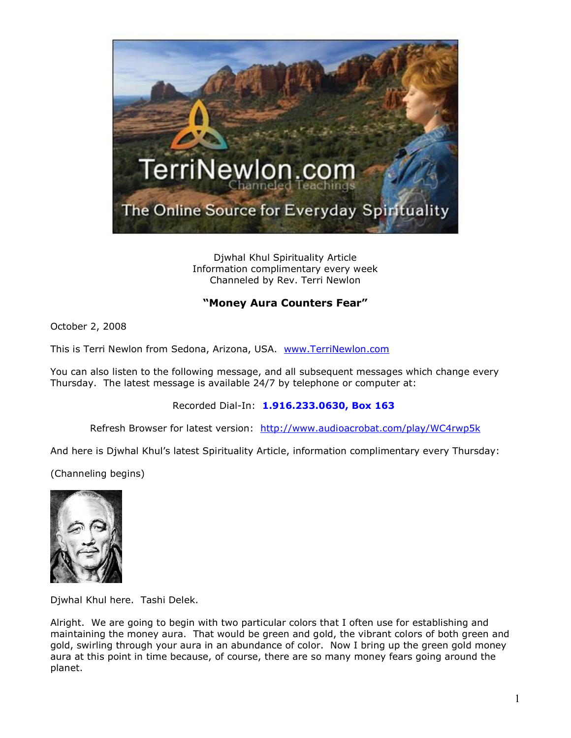

Djwhal Khul Spirituality Article Information complimentary every week Channeled by Rev. Terri Newlon

## **"Money Aura Counters Fear"**

October 2, 2008

This is Terri Newlon from Sedona, Arizona, USA. [www.TerriNewlon.com](http://www.terrinewlon.com/)

You can also listen to the following message, and all subsequent messages which change every Thursday. The latest message is available 24/7 by telephone or computer at:

Recorded Dial-In: **1.916.233.0630, Box 163**

Refresh Browser for latest version: <http://www.audioacrobat.com/play/WC4rwp5k>

And here is Djwhal Khul's latest Spirituality Article, information complimentary every Thursday:

(Channeling begins)



Djwhal Khul here. Tashi Delek.

Alright. We are going to begin with two particular colors that I often use for establishing and maintaining the money aura. That would be green and gold, the vibrant colors of both green and gold, swirling through your aura in an abundance of color. Now I bring up the green gold money aura at this point in time because, of course, there are so many money fears going around the planet.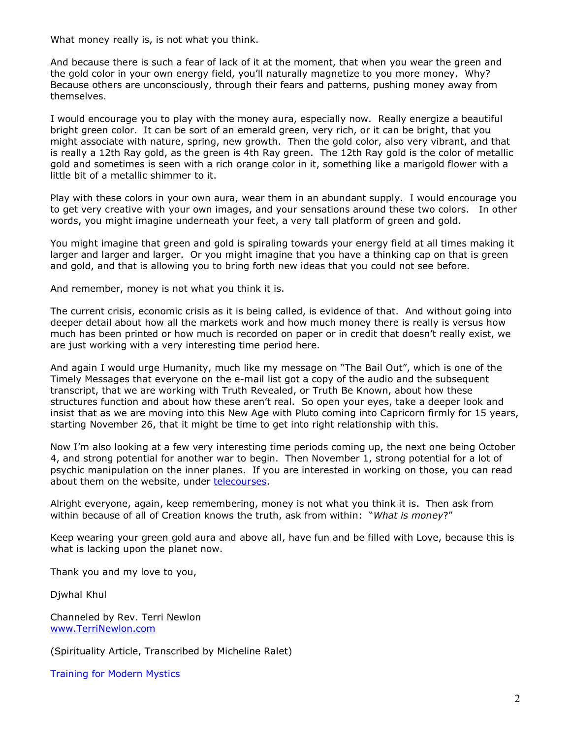What money really is, is not what you think.

And because there is such a fear of lack of it at the moment, that when you wear the green and the gold color in your own energy field, you'll naturally magnetize to you more money. Why? Because others are unconsciously, through their fears and patterns, pushing money away from themselves.

I would encourage you to play with the money aura, especially now. Really energize a beautiful bright green color. It can be sort of an emerald green, very rich, or it can be bright, that you might associate with nature, spring, new growth. Then the gold color, also very vibrant, and that is really a 12th Ray gold, as the green is 4th Ray green. The 12th Ray gold is the color of metallic gold and sometimes is seen with a rich orange color in it, something like a marigold flower with a little bit of a metallic shimmer to it.

Play with these colors in your own aura, wear them in an abundant supply. I would encourage you to get very creative with your own images, and your sensations around these two colors. In other words, you might imagine underneath your feet, a very tall platform of green and gold.

You might imagine that green and gold is spiraling towards your energy field at all times making it larger and larger and larger. Or you might imagine that you have a thinking cap on that is green and gold, and that is allowing you to bring forth new ideas that you could not see before.

And remember, money is not what you think it is.

The current crisis, economic crisis as it is being called, is evidence of that. And without going into deeper detail about how all the markets work and how much money there is really is versus how much has been printed or how much is recorded on paper or in credit that doesn't really exist, we are just working with a very interesting time period here.

And again I would urge Humanity, much like my message on "The Bail Out", which is one of the Timely Messages that everyone on the e-mail list got a copy of the audio and the subsequent transcript, that we are working with Truth Revealed, or Truth Be Known, about how these structures function and about how these aren't real. So open your eyes, take a deeper look and insist that as we are moving into this New Age with Pluto coming into Capricorn firmly for 15 years, starting November 26, that it might be time to get into right relationship with this.

Now I'm also looking at a few very interesting time periods coming up, the next one being October 4, and strong potential for another war to begin. Then November 1, strong potential for a lot of psychic manipulation on the inner planes. If you are interested in working on those, you can read about them on the website, under [telecourses](http://terrinewlon.com/telecourses.htm).

Alright everyone, again, keep remembering, money is not what you think it is. Then ask from within because of all of Creation knows the truth, ask from within: "*What is money*?"

Keep wearing your green gold aura and above all, have fun and be filled with Love, because this is what is lacking upon the planet now.

Thank you and my love to you,

Djwhal Khul

Channeled by Rev. Terri Newlon [www.TerriNewlon.com](http://www.terrinewlon.com/)

(Spirituality Article, Transcribed by Micheline Ralet)

Training for Modern Mystics